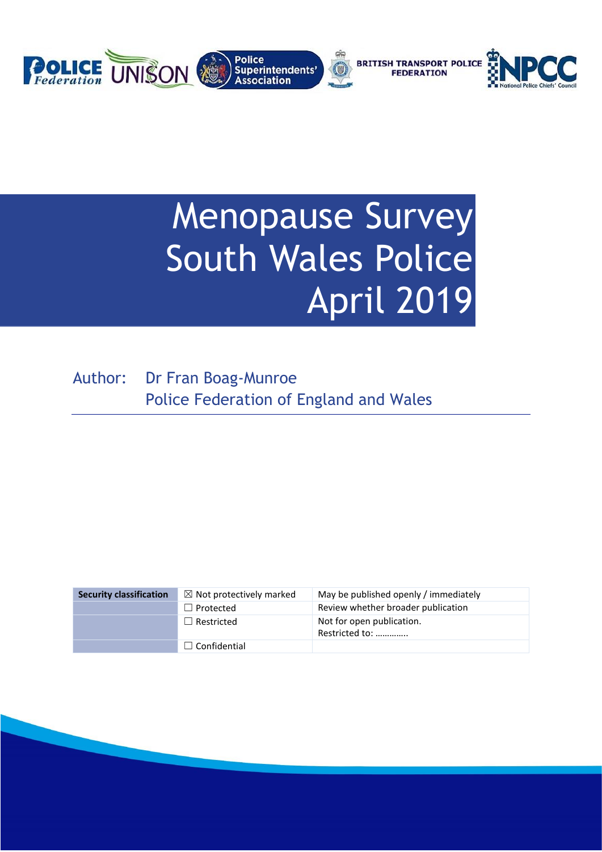

# Menopause Survey South Wales Police April 2019

Author: Dr Fran Boag-Munroe Police Federation of England and Wales

| <b>Security classification</b> | $\boxtimes$ Not protectively marked | May be published openly / immediately       |
|--------------------------------|-------------------------------------|---------------------------------------------|
|                                | $\Box$ Protected                    | Review whether broader publication          |
|                                | $\Box$ Restricted                   | Not for open publication.<br>Restricted to: |
|                                | $\Box$ Confidential                 |                                             |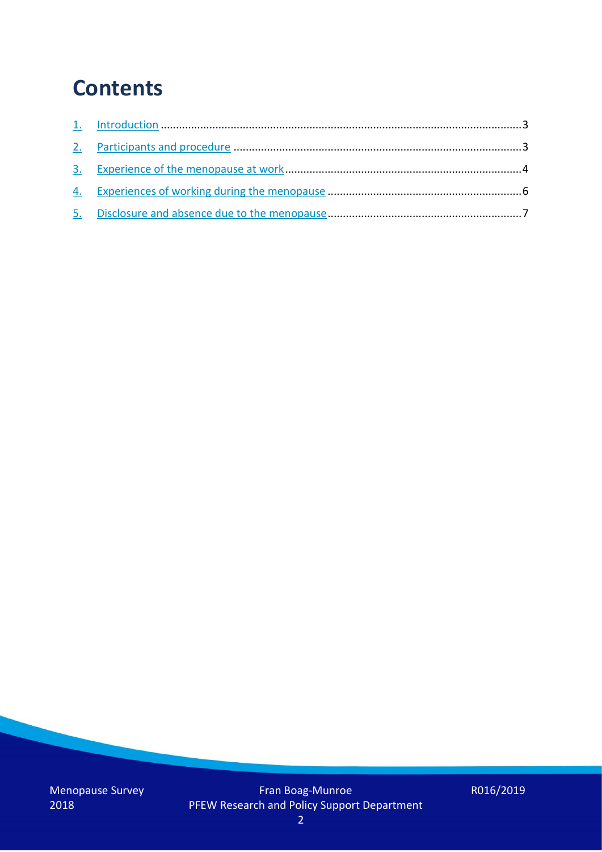### **Contents**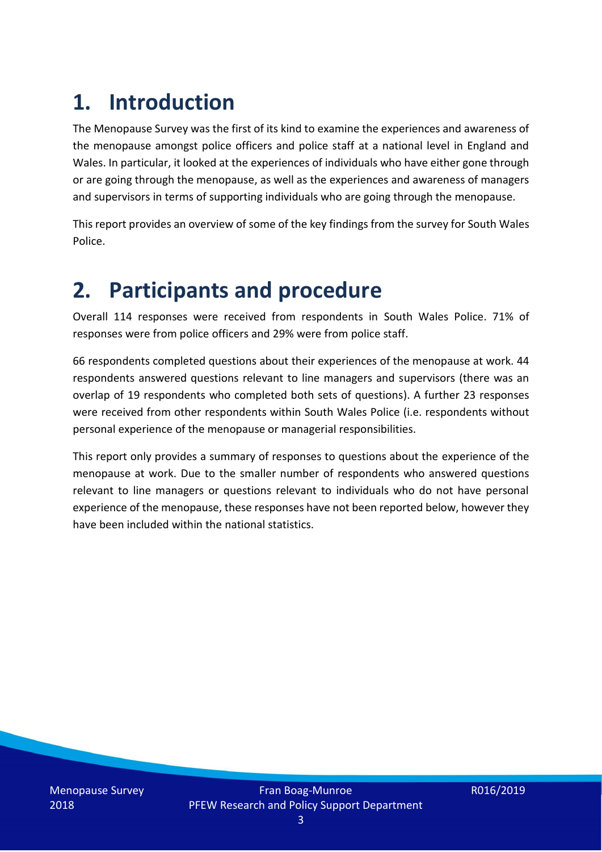# **1. Introduction**

The Menopause Survey was the first of its kind to examine the experiences and awareness of the menopause amongst police officers and police staff at a national level in England and Wales. In particular, it looked at the experiences of individuals who have either gone through or are going through the menopause, as well as the experiences and awareness of managers and supervisors in terms of supporting individuals who are going through the menopause.

This report provides an overview of some of the key findings from the survey for South Wales Police.

### **2. Participants and procedure**

Overall 114 responses were received from respondents in South Wales Police. 71% of responses were from police officers and 29% were from police staff.

66 respondents completed questions about their experiences of the menopause at work. 44 respondents answered questions relevant to line managers and supervisors (there was an overlap of 19 respondents who completed both sets of questions). A further 23 responses were received from other respondents within South Wales Police (i.e. respondents without personal experience of the menopause or managerial responsibilities.

This report only provides a summary of responses to questions about the experience of the menopause at work. Due to the smaller number of respondents who answered questions relevant to line managers or questions relevant to individuals who do not have personal experience of the menopause, these responses have not been reported below, however they have been included within the national statistics.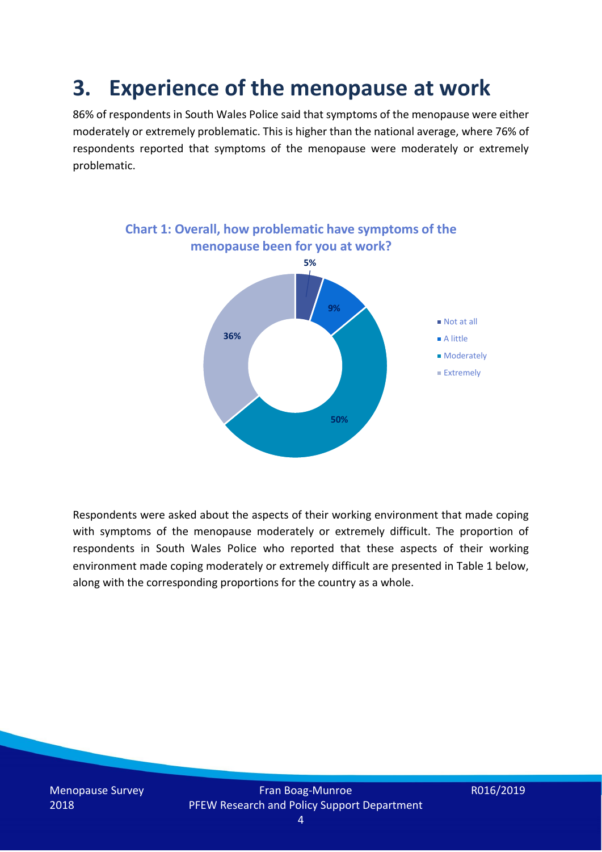### **3. Experience of the menopause at work**

86% of respondents in South Wales Police said that symptoms of the menopause were either moderately or extremely problematic. This is higher than the national average, where 76% of respondents reported that symptoms of the menopause were moderately or extremely problematic.



Respondents were asked about the aspects of their working environment that made coping with symptoms of the menopause moderately or extremely difficult. The proportion of respondents in South Wales Police who reported that these aspects of their working environment made coping moderately or extremely difficult are presented in Table 1 below, along with the corresponding proportions for the country as a whole.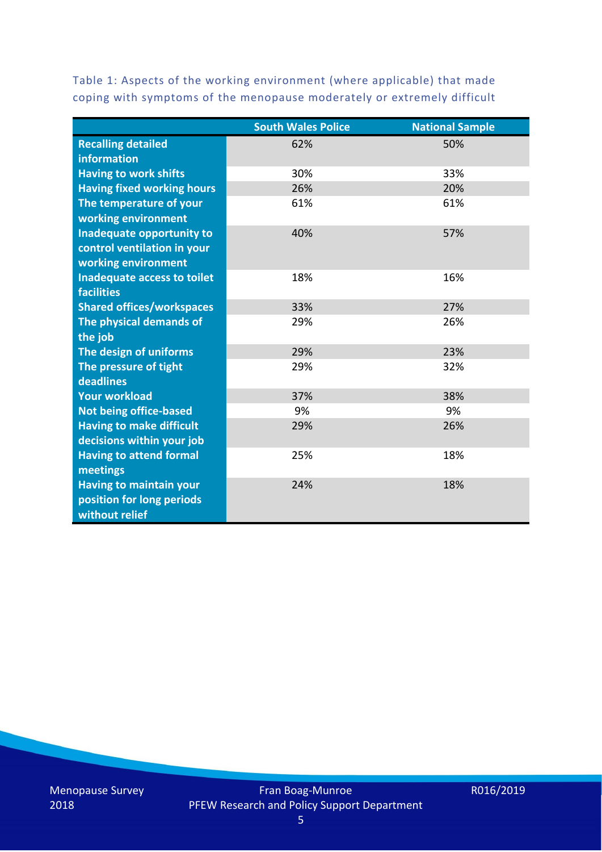Table 1: Aspects of the working environment (where applicable) that made coping with symptoms of the menopause moderately or extremely difficult

|                                   | <b>South Wales Police</b> | <b>National Sample</b> |
|-----------------------------------|---------------------------|------------------------|
| <b>Recalling detailed</b>         | 62%                       | 50%                    |
| information                       |                           |                        |
| <b>Having to work shifts</b>      | 30%                       | 33%                    |
| <b>Having fixed working hours</b> | 26%                       | 20%                    |
| The temperature of your           | 61%                       | 61%                    |
| working environment               |                           |                        |
| Inadequate opportunity to         | 40%                       | 57%                    |
| control ventilation in your       |                           |                        |
| working environment               |                           |                        |
| Inadequate access to toilet       | 18%                       | 16%                    |
| <b>facilities</b>                 |                           |                        |
| <b>Shared offices/workspaces</b>  | 33%                       | 27%                    |
| The physical demands of           | 29%                       | 26%                    |
| the job                           |                           |                        |
| The design of uniforms            | 29%                       | 23%                    |
| The pressure of tight             | 29%                       | 32%                    |
| deadlines                         |                           |                        |
| <b>Your workload</b>              | 37%                       | 38%                    |
| <b>Not being office-based</b>     | 9%                        | 9%                     |
| <b>Having to make difficult</b>   | 29%                       | 26%                    |
| decisions within your job         |                           |                        |
| <b>Having to attend formal</b>    | 25%                       | 18%                    |
| meetings                          |                           |                        |
| <b>Having to maintain your</b>    | 24%                       | 18%                    |
| position for long periods         |                           |                        |
| without relief                    |                           |                        |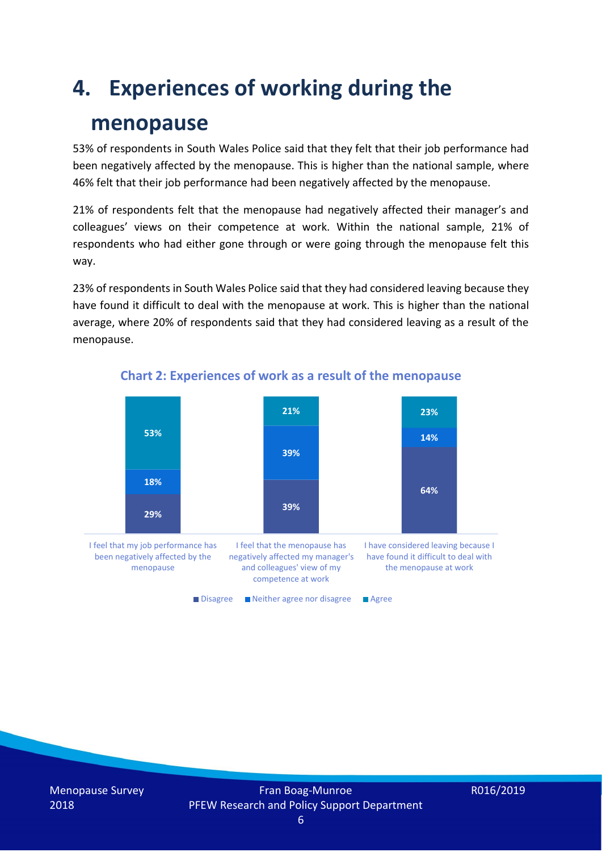### **4. Experiences of working during the**

### **menopause**

53% of respondents in South Wales Police said that they felt that their job performance had been negatively affected by the menopause. This is higher than the national sample, where 46% felt that their job performance had been negatively affected by the menopause.

21% of respondents felt that the menopause had negatively affected their manager's and colleagues' views on their competence at work. Within the national sample, 21% of respondents who had either gone through or were going through the menopause felt this way.

23% of respondents in South Wales Police said that they had considered leaving because they have found it difficult to deal with the menopause at work. This is higher than the national average, where 20% of respondents said that they had considered leaving as a result of the menopause.



#### **Chart 2: Experiences of work as a result of the menopause**